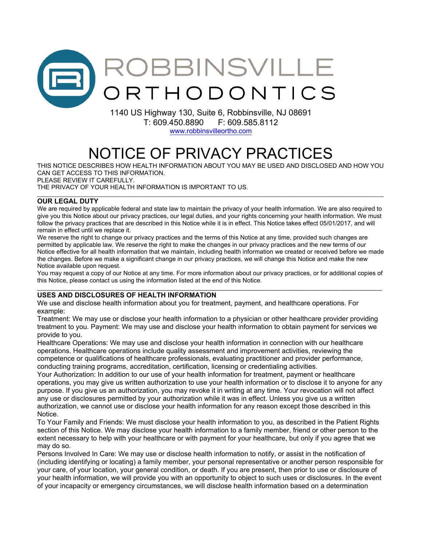

1140 US Highway 130, Suite 6, Robbinsville, NJ 08691 T: 609.450.8890 F: 609.585.8112 www.robbinsvilleortho.com

# NOTICE OF PRIVACY PRACTICES

THIS NOTICE DESCRIBES HOW HEALTH INFORMATION ABOUT YOU MAY BE USED AND DISCLOSED AND HOW YOU CAN GET ACCESS TO THIS INFORMATION. PLEASE REVIEW IT CAREFULLY. THE PRIVACY OF YOUR HEALTH INFORMATION IS IMPORTANT TO US.

#### $\ldots \ldots \ldots$ **OUR LEGAL DUTY**

We are required by applicable federal and state law to maintain the privacy of your health information. We are also required to give you this Notice about our privacy practices, our legal duties, and your rights concerning your health information. We must follow the privacy practices that are described in this Notice while it is in effect. This Notice takes effect 05/01/2017, and will remain in effect until we replace it.

We reserve the right to change our privacy practices and the terms of this Notice at any time, provided such changes are permitted by applicable law. We reserve the right to make the changes in our privacy practices and the new terms of our Notice effective for all health information that we maintain, including health information we created or received before we made the changes. Before we make a significant change in our privacy practices, we will change this Notice and make the new Notice available upon request.

You may request a copy of our Notice at any time. For more information about our privacy practices, or for additional copies of this Notice, please contact us using the information listed at the end of this Notice.

\_\_\_\_\_\_\_\_\_\_\_\_\_\_\_\_\_\_\_\_\_\_\_\_\_\_\_\_\_\_\_\_\_\_\_\_\_\_\_\_\_\_\_\_\_\_\_\_\_\_\_\_\_\_\_\_\_\_\_\_\_\_\_\_\_\_\_\_\_\_\_\_\_\_\_\_\_\_\_\_\_\_\_\_\_\_\_\_\_\_\_\_\_\_\_\_\_\_\_\_

# **USES AND DISCLOSURES OF HEALTH INFORMATION**

We use and disclose health information about you for treatment, payment, and healthcare operations. For example:

Treatment: We may use or disclose your health information to a physician or other healthcare provider providing treatment to you. Payment: We may use and disclose your health information to obtain payment for services we provide to you.

Healthcare Operations: We may use and disclose your health information in connection with our healthcare operations. Healthcare operations include quality assessment and improvement activities, reviewing the competence or qualifications of healthcare professionals, evaluating practitioner and provider performance, conducting training programs, accreditation, certification, licensing or credentialing activities.

Your Authorization: In addition to our use of your health information for treatment, payment or healthcare operations, you may give us written authorization to use your health information or to disclose it to anyone for any purpose. If you give us an authorization, you may revoke it in writing at any time. Your revocation will not affect any use or disclosures permitted by your authorization while it was in effect. Unless you give us a written authorization, we cannot use or disclose your health information for any reason except those described in this Notice.

To Your Family and Friends: We must disclose your health information to you, as described in the Patient Rights section of this Notice. We may disclose your health information to a family member, friend or other person to the extent necessary to help with your healthcare or with payment for your healthcare, but only if you agree that we may do so.

Persons Involved In Care: We may use or disclose health information to notify, or assist in the notification of (including identifying or locating) a family member, your personal representative or another person responsible for your care, of your location, your general condition, or death. If you are present, then prior to use or disclosure of your health information, we will provide you with an opportunity to object to such uses or disclosures. In the event of your incapacity or emergency circumstances, we will disclose health information based on a determination